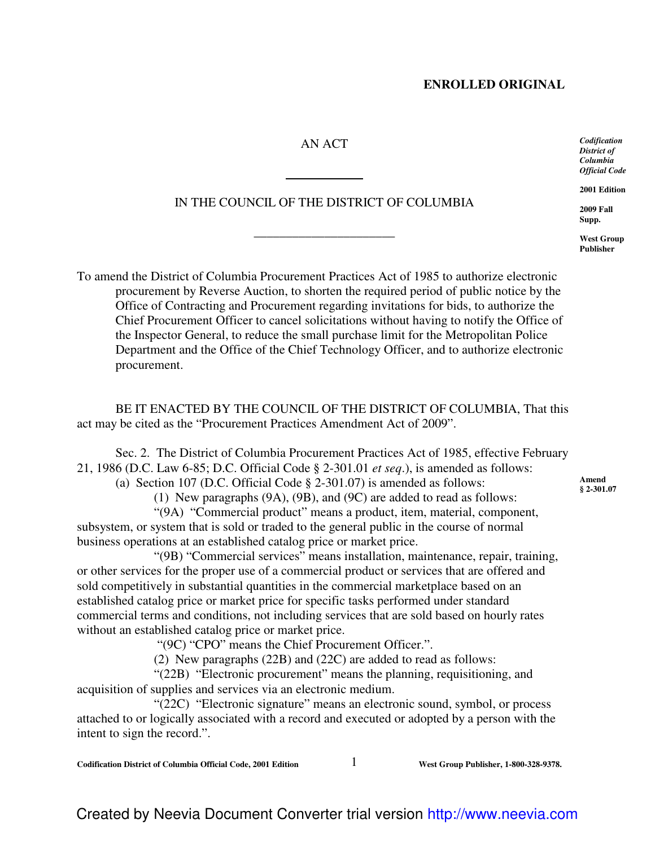### **ENROLLED ORIGINAL**

# AN ACT

 $\overline{a}$ 

# IN THE COUNCIL OF THE DISTRICT OF COLUMBIA

\_\_\_\_\_\_\_\_\_\_\_\_\_\_\_\_\_\_\_\_\_\_

To amend the District of Columbia Procurement Practices Act of 1985 to authorize electronic procurement by Reverse Auction, to shorten the required period of public notice by the Office of Contracting and Procurement regarding invitations for bids, to authorize the Chief Procurement Officer to cancel solicitations without having to notify the Office of the Inspector General, to reduce the small purchase limit for the Metropolitan Police Department and the Office of the Chief Technology Officer, and to authorize electronic procurement.

BE IT ENACTED BY THE COUNCIL OF THE DISTRICT OF COLUMBIA, That this act may be cited as the "Procurement Practices Amendment Act of 2009".

Sec. 2. The District of Columbia Procurement Practices Act of 1985, effective February 21, 1986 (D.C. Law 6-85; D.C. Official Code § 2-301.01 *et seq*.), is amended as follows:

(a) Section 107 (D.C. Official Code § 2-301.07) is amended as follows:

(1) New paragraphs (9A), (9B), and (9C) are added to read as follows:

"(9A) "Commercial product" means a product, item, material, component, subsystem, or system that is sold or traded to the general public in the course of normal business operations at an established catalog price or market price.

"(9B) "Commercial services" means installation, maintenance, repair, training, or other services for the proper use of a commercial product or services that are offered and sold competitively in substantial quantities in the commercial marketplace based on an established catalog price or market price for specific tasks performed under standard commercial terms and conditions, not including services that are sold based on hourly rates without an established catalog price or market price.

"(9C) "CPO" means the Chief Procurement Officer.".

(2) New paragraphs (22B) and (22C) are added to read as follows:

"(22B) "Electronic procurement" means the planning, requisitioning, and acquisition of supplies and services via an electronic medium.

"(22C) "Electronic signature" means an electronic sound, symbol, or process attached to or logically associated with a record and executed or adopted by a person with the intent to sign the record.".

**Codification District of Columbia Official Code, 2001 Edition** 1 **West Group Publisher, 1-800-328-9378.**

*Codification District of Columbia Official Code*

**2001 Edition**

**2009 Fall Supp.**

**West Group Publisher**

**Amend § 2-301.07**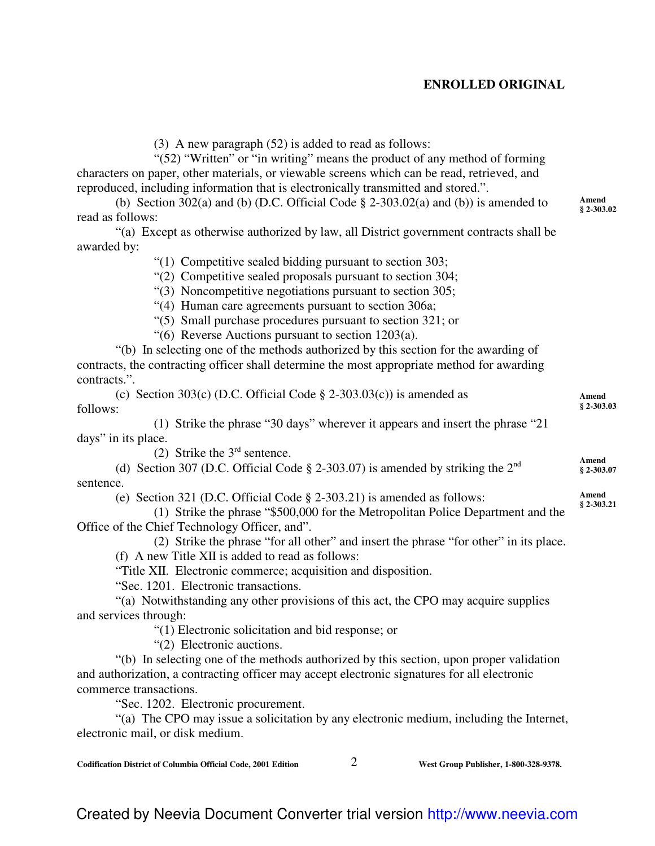## **ENROLLED ORIGINAL**

(3) A new paragraph (52) is added to read as follows:

"(52) "Written" or "in writing" means the product of any method of forming characters on paper, other materials, or viewable screens which can be read, retrieved, and reproduced, including information that is electronically transmitted and stored.".

(b) Section 302(a) and (b) (D.C. Official Code  $\S$  2-303.02(a) and (b)) is amended to read as follows:

"(a) Except as otherwise authorized by law, all District government contracts shall be awarded by:

"(1) Competitive sealed bidding pursuant to section 303;

"(2) Competitive sealed proposals pursuant to section 304;

"(3) Noncompetitive negotiations pursuant to section 305;

"(4) Human care agreements pursuant to section 306a;

"(5) Small purchase procedures pursuant to section 321; or

"(6) Reverse Auctions pursuant to section 1203(a).

"(b) In selecting one of the methods authorized by this section for the awarding of contracts, the contracting officer shall determine the most appropriate method for awarding contracts.".

|          | (c) Section 303(c) (D.C. Official Code $\S$ 2-303.03(c)) is amended as         | Amend       |
|----------|--------------------------------------------------------------------------------|-------------|
| follows: |                                                                                | $$2-303.03$ |
|          | (1) Strike the phrase "30 days" wherever it appears and insert the phrase "21" |             |

days" in its place. (2) Strike the  $3<sup>rd</sup>$  sentence.

(d) Section 307 (D.C. Official Code  $\S$  2-303.07) is amended by striking the 2<sup>nd</sup> sentence. **Amend § 2-303.07**

(e) Section 321 (D.C. Official Code § 2-303.21) is amended as follows:

(1) Strike the phrase "\$500,000 for the Metropolitan Police Department and the Office of the Chief Technology Officer, and".

(2) Strike the phrase "for all other" and insert the phrase "for other" in its place.

(f) A new Title XII is added to read as follows:

"Title XII. Electronic commerce; acquisition and disposition.

"Sec. 1201. Electronic transactions.

"(a) Notwithstanding any other provisions of this act, the CPO may acquire supplies and services through:

"(1) Electronic solicitation and bid response; or

"(2) Electronic auctions.

"(b) In selecting one of the methods authorized by this section, upon proper validation and authorization, a contracting officer may accept electronic signatures for all electronic commerce transactions.

"Sec. 1202. Electronic procurement.

"(a) The CPO may issue a solicitation by any electronic medium, including the Internet, electronic mail, or disk medium.

**Codification District of Columbia Official Code, 2001 Edition** 2 **West Group Publisher, 1-800-328-9378.**

**Amend § 2-303.02**

**Amend § 2-303.21**